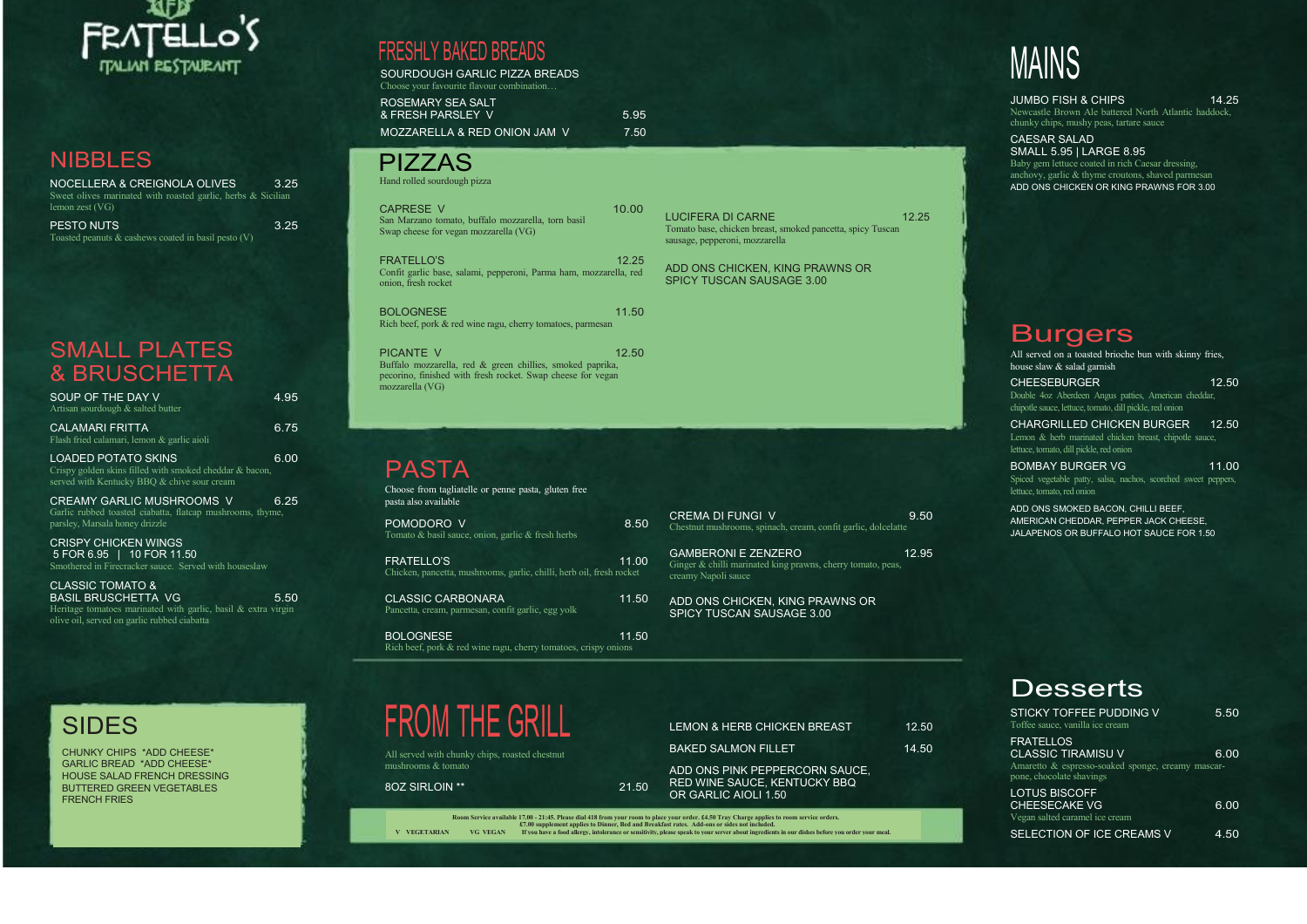

#### NIBBLES

| NOCELLERA & CREIGNOLA OLIVES                                 | 3.25 |
|--------------------------------------------------------------|------|
| Sweet olives marinated with roasted garlic, herbs & Sicilian |      |
| lemon zest $(VG)$                                            |      |
| <b>PESTO NUTS</b>                                            | 3.25 |
| Toasted peanuts $\&$ cashews coated in basil pesto (V)       |      |

#### SMALL PLATES & BRUSCHETTA

| SOUP OF THE DAY V<br>Artisan sourdough & salted butter                                                                                                            | 4.95 |
|-------------------------------------------------------------------------------------------------------------------------------------------------------------------|------|
| CALAMARI FRITTA<br>Flash fried calamari, lemon & garlic aioli                                                                                                     | 6.75 |
| <b>LOADED POTATO SKINS</b><br>Crispy golden skins filled with smoked cheddar & bacon,<br>served with Kentucky BBQ & chive sour cream                              | 6.00 |
| <b>CREAMY GARLIC MUSHROOMS V</b><br>Garlic rubbed toasted ciabatta, flatcap mushrooms, thyme,<br>parsley, Marsala honey drizzle                                   | 6.25 |
| <b>CRISPY CHICKEN WINGS</b><br>5 FOR 6.95   10 FOR 11.50<br>Smothered in Firecracker sauce. Served with houseslaw                                                 |      |
| CLASSIC TOMATO &<br><b>BASIL BRUSCHETTA VG</b><br>Heritage tomatoes marinated with garlic, basil $\&$ extra virgin<br>olive oil, served on garlic rubbed ciabatta | 5.50 |

### FRESHLY BAKED BREADS

FRATELLO'S 11.00 Chicken, pancetta, mushrooms, garlic, chilli, herb oil, fresh rocket

SOURDOUGH GARLIC PIZZA BREADS Choose your favourite flavour combination…

CLASSIC CARBONARA 11.50 Pancetta, cream, parmesan, confit garlic, egg yolk

BOLOGNESE 2012 11.50 Rich beef, pork & red wine ragu, cherry tomatoes, crispy onions

ROSEMARY SEA SALT & FRESH PARSLEY V 5.95

MOZZARELLA & RED ONION JAM V 7.50

|  |  | <b>PIZZAS</b> |
|--|--|---------------|
|  |  |               |

Hand rolled sourdough pizza

LUCIFERA DI CARNE 12.25 Tomato base, chicken breast, smoked pancetta, spicy Tuscan sausage, pepperoni, mozzarella

GAMBERONI E ZENZERO 12.95 Ginger & chilli marinated king prawns, cherry tomato, peas, creamy Napoli sauce

| <b>CAPRESE V</b><br>San Marzano tomato, buffalo mozzarella, torn basil<br>Swap cheese for yegan mozzarella (VG)                              | 10.00 |
|----------------------------------------------------------------------------------------------------------------------------------------------|-------|
| <b>FRATELLO'S</b><br>Confit garlic base, salami, pepperoni, Parma ham, mozzarella, red<br>onion, fresh rocket                                | 12.25 |
| <b>BOLOGNESE</b><br>Rich beef, pork & red wine ragu, cherry tomatoes, parmesan                                                               | 11.50 |
| <b>PICANTE V</b><br>Buffalo mozzarella, red & green chillies, smoked paprika,<br>pecorino, finished with fresh rocket. Swap cheese for yegan | 12.50 |

JUMBO FISH & CHIPS 14.25 Newcastle Brown Ale battered North Atlantic haddock, chunky chips, mushy peas, tartare sauce

mozzarella (VG)

### PASTA

Choose from tagliatelle or penne pasta, gluten free pasta also available

CHEESEBURGER 12.50 Double 4oz Aberdeen Angus patties, American cheddar, chipotle sauce, lettuce, tomato, dill pickle, red onion

| POMODORO V                                              | 8.50 |
|---------------------------------------------------------|------|
| Tomato $\&$ basil sauce, onion, garlic $\&$ fresh herbs |      |

BOMBAY BURGER VG 11.00 Spiced vegetable patty, salsa, nachos, scorched sweet peppers, lettuce, tomato, red onion



All served with chunky chips, roasted chestnut mushrooms & tomato

#### 8OZ SIRLOIN \*\* 21.50

ADD ONS CHICKEN, KING PRAWNS OR SPICY TUSCAN SAUSAGE 3.00

ADD ONS CHICKEN, KING PRAWNS OR SPICY TUSCAN SAUSAGE 3.00

| LEMON & HERB CHICKEN BREAST                                                                   | 12.50 |
|-----------------------------------------------------------------------------------------------|-------|
| <b>BAKED SALMON FILLET</b>                                                                    | 14.50 |
| <u>ADD ONS PINK PEPPERCORN SAUCE,</u><br>RED WINE SAUCE, KENTUCKY BBQ<br>OR GARLIC AIOLI 1.50 |       |

Room Service available 17.00 - 21:45. Please dial 418 from your room to place your order. £4.50 Tray Charge applies to room service orders.<br>\$ 17.00 supplement applies to Dinner, Bed and Breakfast rates. Add-ons or sides no

# MAINS

CAESAR SALAD SMALL 5.95 | LARGE 8.95 Baby gem lettuce coated in rich Caesar dressing, anchovy, garlic & thyme croutons, shaved parmesan ADD ONS CHICKEN OR KING PRAWNS FOR 3.00

#### **Burgers**

All served on a toasted brioche bun with skinny fries, house slaw & salad garnish

CHARGRILLED CHICKEN BURGER 12.50 Lemon & herb marinated chicken breast, chipotle sauce, lettuce, tomato, dill pickle, red onion

ADD ONS SMOKED BACON, CHILLI BEEF, AMERICAN CHEDDAR, PEPPER JACK CHEESE, JALAPENOS OR BUFFALO HOT SAUCE FOR 1.50

### **Desserts**

| <b>STICKY TOFFEE PUDDING V</b><br>Toffee sauce, vanilla ice cream                                                              | 5.50 |
|--------------------------------------------------------------------------------------------------------------------------------|------|
| <b>FRATELLOS</b><br><b>CLASSIC TIRAMISU V</b><br>Amaretto & espresso-soaked sponge, creamy mascar-<br>pone, chocolate shavings | 6.00 |
| <b>LOTUS BISCOFF</b><br><b>CHEESECAKE VG</b><br>Vegan salted caramel ice cream                                                 | 6.00 |
| SELECTION OF ICE CREAMS V                                                                                                      | 4.50 |

### SIDES

CHUNKY CHIPS \*ADD CHEESE\* GARLIC BREAD \*ADD CHEESE\* HOUSE SALAD FRENCH DRESSING BUTTERED GREEN VEGETABLES FRENCH FRIES